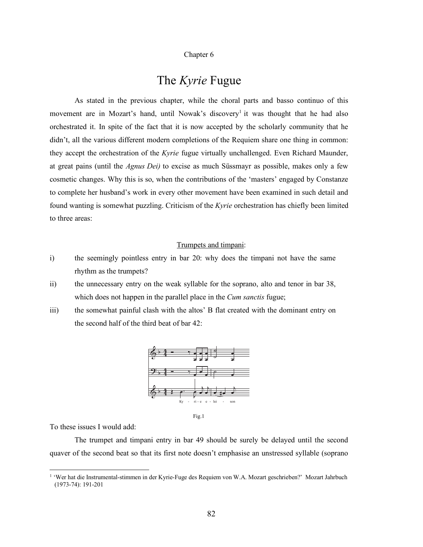#### Chapter 6

# The *Kyrie* Fugue

As stated in the previous chapter, while the choral parts and basso continuo of this movement are in Mozart's hand, until Nowak's discovery<sup>1</sup> it was thought that he had also orchestrated it. In spite of the fact that it is now accepted by the scholarly community that he didn't, all the various different modern completions of the Requiem share one thing in common: they accept the orchestration of the *Kyrie* fugue virtually unchallenged. Even Richard Maunder, at great pains (until the *Agnus Dei)* to excise as much Süssmayr as possible, makes only a few cosmetic changes. Why this is so, when the contributions of the 'masters' engaged by Constanze to complete her husband's work in every other movement have been examined in such detail and found wanting is somewhat puzzling. Criticism of the *Kyrie* orchestration has chiefly been limited to three areas:

## Trumpets and timpani:

- i) the seemingly pointless entry in bar 20: why does the timpani not have the same rhythm as the trumpets?
- ii) the unnecessary entry on the weak syllable for the soprano, alto and tenor in bar 38, which does not happen in the parallel place in the *Cum sanctis* fugue;
- iii) the somewhat painful clash with the altos' B flat created with the dominant entry on the second half of the third beat of bar 42:



Fig.1

To these issues I would add:

The trumpet and timpani entry in bar 49 should be surely be delayed until the second quaver of the second beat so that its first note doesn't emphasise an unstressed syllable (soprano

 <sup>1</sup> 'Wer hat die Instrumental-stimmen in der Kyrie-Fuge des Requiem von W.A. Mozart geschrieben?' Mozart Jahrbuch (1973-74): 191-201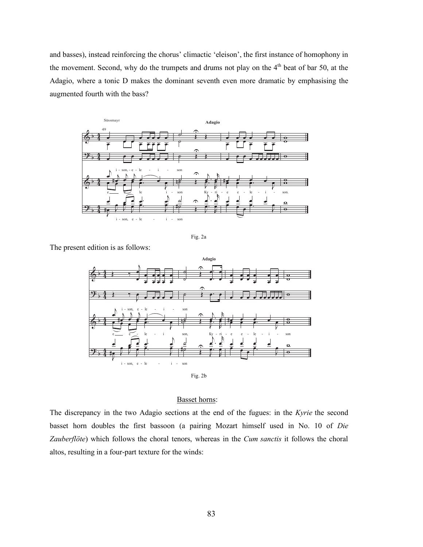and basses), instead reinforcing the chorus' climactic 'eleison', the first instance of homophony in the movement. Second, why do the trumpets and drums not play on the 4<sup>th</sup> beat of bar 50, at the Adagio, where a tonic D makes the dominant seventh even more dramatic by emphasising the augmented fourth with the bass?



Fig. 2a

The present edition is as follows:



Basset horns:

The discrepancy in the two Adagio sections at the end of the fugues: in the *Kyrie* the second basset horn doubles the first bassoon (a pairing Mozart himself used in No. 10 of *Die Zauberflöte*) which follows the choral tenors, whereas in the *Cum sanctis* it follows the choral altos, resulting in a four-part texture for the winds: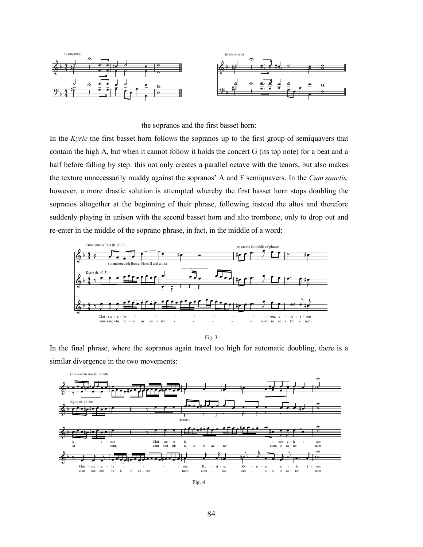

## the sopranos and the first basset horn:

In the *Kyrie* the first basset horn follows the sopranos up to the first group of semiquavers that contain the high A, but when it cannot follow it holds the concert G (its top note) for a beat and a half before falling by step: this not only creates a parallel octave with the tenors, but also makes the texture unnecessarily muddy against the sopranos' A and F semiquavers. In the *Cum sanctis,* however, a more drastic solution is attempted whereby the first basset horn stops doubling the sopranos altogether at the beginning of their phrase, following instead the altos and therefore suddenly playing in unison with the second basset horn and alto trombone, only to drop out and re-enter in the middle of the soprano phrase, in fact, in the middle of a word:



Fig. 3

In the final phrase, where the sopranos again travel too high for automatic doubling, there is a similar divergence in the two movements:



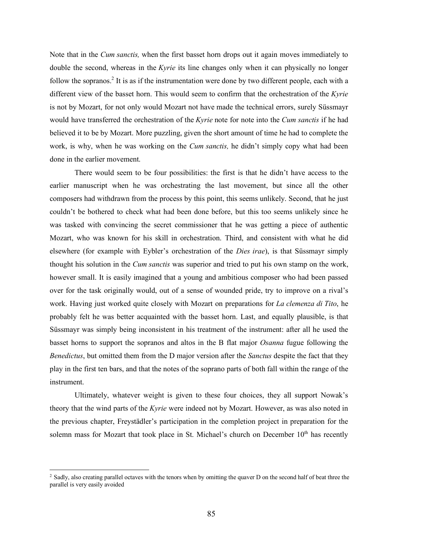Note that in the *Cum sanctis,* when the first basset horn drops out it again moves immediately to double the second, whereas in the *Kyrie* its line changes only when it can physically no longer follow the sopranos.<sup>2</sup> It is as if the instrumentation were done by two different people, each with a different view of the basset horn. This would seem to confirm that the orchestration of the *Kyrie* is not by Mozart, for not only would Mozart not have made the technical errors, surely Süssmayr would have transferred the orchestration of the *Kyrie* note for note into the *Cum sanctis* if he had believed it to be by Mozart. More puzzling, given the short amount of time he had to complete the work, is why, when he was working on the *Cum sanctis,* he didn't simply copy what had been done in the earlier movement.

There would seem to be four possibilities: the first is that he didn't have access to the earlier manuscript when he was orchestrating the last movement, but since all the other composers had withdrawn from the process by this point, this seems unlikely. Second, that he just couldn't be bothered to check what had been done before, but this too seems unlikely since he was tasked with convincing the secret commissioner that he was getting a piece of authentic Mozart, who was known for his skill in orchestration. Third, and consistent with what he did elsewhere (for example with Eybler's orchestration of the *Dies irae*), is that Süssmayr simply thought his solution in the *Cum sanctis* was superior and tried to put his own stamp on the work, however small. It is easily imagined that a young and ambitious composer who had been passed over for the task originally would, out of a sense of wounded pride, try to improve on a rival's work. Having just worked quite closely with Mozart on preparations for *La clemenza di Tito*, he probably felt he was better acquainted with the basset horn. Last, and equally plausible, is that Süssmayr was simply being inconsistent in his treatment of the instrument: after all he used the basset horns to support the sopranos and altos in the B flat major *Osanna* fugue following the *Benedictus*, but omitted them from the D major version after the *Sanctus* despite the fact that they play in the first ten bars, and that the notes of the soprano parts of both fall within the range of the instrument.

Ultimately, whatever weight is given to these four choices, they all support Nowak's theory that the wind parts of the *Kyrie* were indeed not by Mozart. However, as was also noted in the previous chapter, Freystädler's participation in the completion project in preparation for the solemn mass for Mozart that took place in St. Michael's church on December  $10<sup>th</sup>$  has recently

<sup>&</sup>lt;sup>2</sup> Sadly, also creating parallel octaves with the tenors when by omitting the quaver D on the second half of beat three the parallel is very easily avoided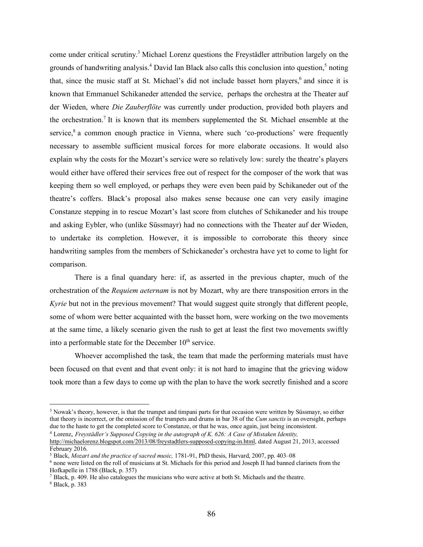come under critical scrutiny. <sup>3</sup> Michael Lorenz questions the Freystädler attribution largely on the grounds of handwriting analysis.<sup>4</sup> David Ian Black also calls this conclusion into question,<sup>5</sup> noting that, since the music staff at St. Michael's did not include basset horn players,<sup>6</sup> and since it is known that Emmanuel Schikaneder attended the service, perhaps the orchestra at the Theater auf der Wieden, where *Die Zauberflöte* was currently under production, provided both players and the orchestration.7 It is known that its members supplemented the St. Michael ensemble at the service,<sup>8</sup> a common enough practice in Vienna, where such 'co-productions' were frequently necessary to assemble sufficient musical forces for more elaborate occasions. It would also explain why the costs for the Mozart's service were so relatively low: surely the theatre's players would either have offered their services free out of respect for the composer of the work that was keeping them so well employed, or perhaps they were even been paid by Schikaneder out of the theatre's coffers. Black's proposal also makes sense because one can very easily imagine Constanze stepping in to rescue Mozart's last score from clutches of Schikaneder and his troupe and asking Eybler, who (unlike Süssmayr) had no connections with the Theater auf der Wieden, to undertake its completion. However, it is impossible to corroborate this theory since handwriting samples from the members of Schickaneder's orchestra have yet to come to light for comparison.

There is a final quandary here: if, as asserted in the previous chapter, much of the orchestration of the *Requiem aeternam* is not by Mozart, why are there transposition errors in the *Kyrie* but not in the previous movement? That would suggest quite strongly that different people, some of whom were better acquainted with the basset horn, were working on the two movements at the same time, a likely scenario given the rush to get at least the first two movements swiftly into a performable state for the December  $10<sup>th</sup>$  service.

Whoever accomplished the task, the team that made the performing materials must have been focused on that event and that event only: it is not hard to imagine that the grieving widow took more than a few days to come up with the plan to have the work secretly finished and a score

<sup>&</sup>lt;sup>3</sup> Nowak's theory, however, is that the trumpet and timpani parts for that occasion were written by Süssmayr, so either that theory is incorrect, or the omission of the trumpets and drums in bar 38 of the *Cum sanctis* is an oversight, perhaps due to the haste to get the completed score to Constanze, or that he was, once again, just being inconsistent. <sup>4</sup> Lorenz, *Freystädler's Supposed Copying in the autograph of K. 626: A Case of Mistaken Identity,*

http://michaelorenz.blogspot.com/2013/08/freystadtlers-supposed-copying-in.html, dated August 21, 2013, accessed February 2016.

<sup>5</sup> Black, *Mozart and the practice of sacred music,* 1781-91, PhD thesis, Harvard, 2007, pp. 403–08

<sup>6</sup> none were listed on the roll of musicians at St. Michaels for this period and Joseph II had banned clarinets from the Hofkapelle in 1788 (Black, p. 357)

<sup>7</sup> Black, p. 409. He also catalogues the musicians who were active at both St. Michaels and the theatre.

<sup>8</sup> Black, p. 383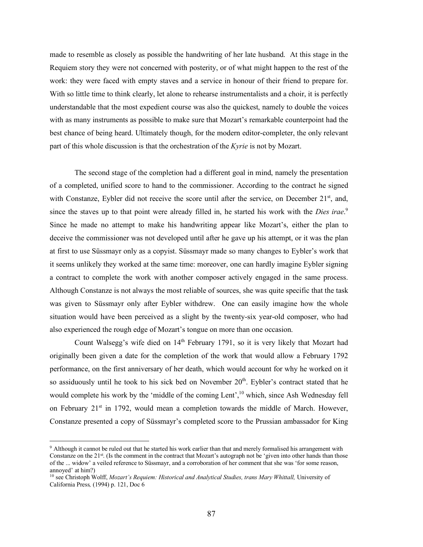made to resemble as closely as possible the handwriting of her late husband. At this stage in the Requiem story they were not concerned with posterity, or of what might happen to the rest of the work: they were faced with empty staves and a service in honour of their friend to prepare for. With so little time to think clearly, let alone to rehearse instrumentalists and a choir, it is perfectly understandable that the most expedient course was also the quickest, namely to double the voices with as many instruments as possible to make sure that Mozart's remarkable counterpoint had the best chance of being heard. Ultimately though, for the modern editor-completer, the only relevant part of this whole discussion is that the orchestration of the *Kyrie* is not by Mozart.

The second stage of the completion had a different goal in mind, namely the presentation of a completed, unified score to hand to the commissioner. According to the contract he signed with Constanze, Eybler did not receive the score until after the service, on December 21<sup>st</sup>, and, since the staves up to that point were already filled in, he started his work with the *Dies irae*. 9 Since he made no attempt to make his handwriting appear like Mozart's, either the plan to deceive the commissioner was not developed until after he gave up his attempt, or it was the plan at first to use Süssmayr only as a copyist. Süssmayr made so many changes to Eybler's work that it seems unlikely they worked at the same time: moreover, one can hardly imagine Eybler signing a contract to complete the work with another composer actively engaged in the same process. Although Constanze is not always the most reliable of sources, she was quite specific that the task was given to Süssmayr only after Eybler withdrew. One can easily imagine how the whole situation would have been perceived as a slight by the twenty-six year-old composer, who had also experienced the rough edge of Mozart's tongue on more than one occasion.

Count Walsegg's wife died on 14<sup>th</sup> February 1791, so it is very likely that Mozart had originally been given a date for the completion of the work that would allow a February 1792 performance, on the first anniversary of her death, which would account for why he worked on it so assiduously until he took to his sick bed on November 20<sup>th</sup>. Eybler's contract stated that he would complete his work by the 'middle of the coming Lent',<sup>10</sup> which, since Ash Wednesday fell on February  $21<sup>st</sup>$  in 1792, would mean a completion towards the middle of March. However, Constanze presented a copy of Süssmayr's completed score to the Prussian ambassador for King

 <sup>9</sup> Although it cannot be ruled out that he started his work earlier than that and merely formalised his arrangement with Constanze on the 21<sup>st</sup>. (Is the comment in the contract that Mozart's autograph not be 'given into other hands than those of the ... widow' a veiled reference to Süssmayr, and a corroboration of her comment that she was 'for some reason, annoyed' at him?)

<sup>10</sup> see Christoph Wolff, *Mozart's Requiem: Historical and Analytical Studies, trans Mary Whittall,* University of California Press*,* (1994) p. 121, Doc 6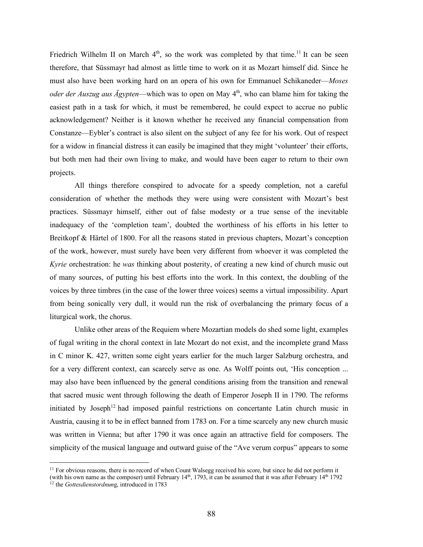Friedrich Wilhelm II on March  $4<sup>th</sup>$ , so the work was completed by that time.<sup>11</sup> It can be seen therefore, that Süssmayr had almost as little time to work on it as Mozart himself did. Since he must also have been working hard on an opera of his own for Emmanuel Schikaneder—*Moses oder der Auszug aus Ägypten*—which was to open on May 4<sup>th</sup>, who can blame him for taking the easiest path in a task for which, it must be remembered, he could expect to accrue no public acknowledgement? Neither is it known whether he received any financial compensation from Constanze—Eybler's contract is also silent on the subject of any fee for his work. Out of respect for a widow in financial distress it can easily be imagined that they might 'volunteer' their efforts, but both men had their own living to make, and would have been eager to return to their own projects.

All things therefore conspired to advocate for a speedy completion, not a careful consideration of whether the methods they were using were consistent with Mozart's best practices. Süssmayr himself, either out of false modesty or a true sense of the inevitable inadequacy of the 'completion team', doubted the worthiness of his efforts in his letter to Breitkopf & Härtel of 1800. For all the reasons stated in previous chapters, Mozart's conception of the work, however, must surely have been very different from whoever it was completed the *Kyrie* orchestration: he *was* thinking about posterity, of creating a new kind of church music out of many sources, of putting his best efforts into the work. In this context, the doubling of the voices by three timbres (in the case of the lower three voices) seems a virtual impossibility. Apart from being sonically very dull, it would run the risk of overbalancing the primary focus of a liturgical work, the chorus.

Unlike other areas of the Requiem where Mozartian models do shed some light, examples of fugal writing in the choral context in late Mozart do not exist, and the incomplete grand Mass in C minor K. 427, written some eight years earlier for the much larger Salzburg orchestra, and for a very different context, can scarcely serve as one. As Wolff points out, 'His conception ... may also have been influenced by the general conditions arising from the transition and renewal that sacred music went through following the death of Emperor Joseph II in 1790. The reforms initiated by Joseph<sup>12</sup> had imposed painful restrictions on concertante Latin church music in Austria, causing it to be in effect banned from 1783 on. For a time scarcely any new church music was written in Vienna; but after 1790 it was once again an attractive field for composers. The simplicity of the musical language and outward guise of the "Ave verum corpus" appears to some

<sup>&</sup>lt;sup>11</sup> For obvious reasons, there is no record of when Count Walsegg received his score, but since he did not perform it (with his own name as the composer) until February  $14<sup>th</sup>$ , 1793, it can be assumed that it was after February  $14<sup>th</sup>$  1792

<sup>&</sup>lt;sup>12</sup> the *Gottesdienstordnung*, introduced in 1783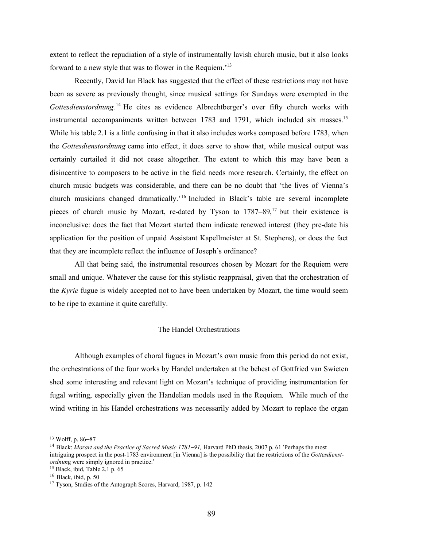extent to reflect the repudiation of a style of instrumentally lavish church music, but it also looks forward to a new style that was to flower in the Requiem.<sup>'13</sup>

Recently, David Ian Black has suggested that the effect of these restrictions may not have been as severe as previously thought, since musical settings for Sundays were exempted in the Gottesdienstordnung.<sup>14</sup> He cites as evidence Albrechtberger's over fifty church works with instrumental accompaniments written between 1783 and 1791, which included six masses.<sup>15</sup> While his table 2.1 is a little confusing in that it also includes works composed before 1783, when the *Gottesdienstordnung* came into effect, it does serve to show that, while musical output was certainly curtailed it did not cease altogether. The extent to which this may have been a disincentive to composers to be active in the field needs more research. Certainly, the effect on church music budgets was considerable, and there can be no doubt that 'the lives of Vienna's church musicians changed dramatically.<sup>'16</sup> Included in Black's table are several incomplete pieces of church music by Mozart, re-dated by Tyson to  $1787-89$ , <sup>17</sup> but their existence is inconclusive: does the fact that Mozart started them indicate renewed interest (they pre-date his application for the position of unpaid Assistant Kapellmeister at St. Stephens), or does the fact that they are incomplete reflect the influence of Joseph's ordinance?

All that being said, the instrumental resources chosen by Mozart for the Requiem were small and unique. Whatever the cause for this stylistic reappraisal, given that the orchestration of the *Kyrie* fugue is widely accepted not to have been undertaken by Mozart, the time would seem to be ripe to examine it quite carefully.

### The Handel Orchestrations

Although examples of choral fugues in Mozart's own music from this period do not exist, the orchestrations of the four works by Handel undertaken at the behest of Gottfried van Swieten shed some interesting and relevant light on Mozart's technique of providing instrumentation for fugal writing, especially given the Handelian models used in the Requiem. While much of the wind writing in his Handel orchestrations was necessarily added by Mozart to replace the organ

 <sup>13</sup> Wolff, p. <sup>86</sup>–<sup>87</sup>

<sup>14</sup> Black: *Mozart and the Practice of Sacred Music 1781–91,* Harvard PhD thesis, 2007 p. 61 'Perhaps the most intriguing prospect in the post-1783 environment [in Vienna] is the possibility that the restrictions of the *Gottesdienstordnun*g were simply ignored in practice.'

<sup>15</sup> Black, ibid, Table 2.1 p. 65

<sup>16</sup> Black, ibid, p. 50

<sup>17</sup> Tyson, Studies of the Autograph Scores, Harvard, 1987, p. 142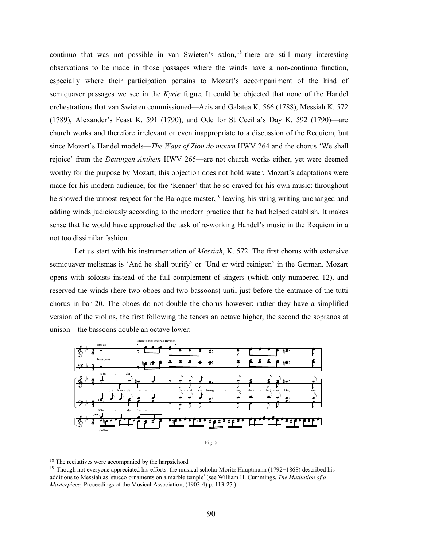continuo that was not possible in van Swieten's salon, <sup>18</sup> there are still many interesting observations to be made in those passages where the winds have a non-continuo function, especially where their participation pertains to Mozart's accompaniment of the kind of semiquaver passages we see in the *Kyrie* fugue. It could be objected that none of the Handel orchestrations that van Swieten commissioned—Acis and Galatea K. 566 (1788), Messiah K. 572 (1789), Alexander's Feast K. 591 (1790), and Ode for St Cecilia's Day K. 592 (1790)—are church works and therefore irrelevant or even inappropriate to a discussion of the Requiem, but since Mozart's Handel models—*The Ways of Zion do mourn* HWV 264 and the chorus 'We shall rejoice' from the *Dettingen Anthem* HWV 265—are not church works either, yet were deemed worthy for the purpose by Mozart, this objection does not hold water. Mozart's adaptations were made for his modern audience, for the 'Kenner' that he so craved for his own music: throughout he showed the utmost respect for the Baroque master,<sup>19</sup> leaving his string writing unchanged and adding winds judiciously according to the modern practice that he had helped establish. It makes sense that he would have approached the task of re-working Handel's music in the Requiem in a not too dissimilar fashion.

Let us start with his instrumentation of *Messiah*, K. 572. The first chorus with extensive semiquaver melismas is 'And he shall purify' or 'Und er wird reinigen' in the German. Mozart opens with soloists instead of the full complement of singers (which only numbered 12), and reserved the winds (here two oboes and two bassoons) until just before the entrance of the tutti chorus in bar 20. The oboes do not double the chorus however; rather they have a simplified version of the violins, the first following the tenors an octave higher, the second the sopranos at unison—the bassoons double an octave lower:



Fig. 5

<sup>&</sup>lt;sup>18</sup> The recitatives were accompanied by the harpsichord

<sup>&</sup>lt;sup>19</sup> Though not everyone appreciated his efforts: the musical scholar Moritz Hauptmann (1792–1868) described his additions to Messiah as 'stucco ornaments on a marble temple' (see William H. Cummings, *The Mutilation of a Masterpiece,* Proceedings of the Musical Association, (1903-4) p. 113-27.)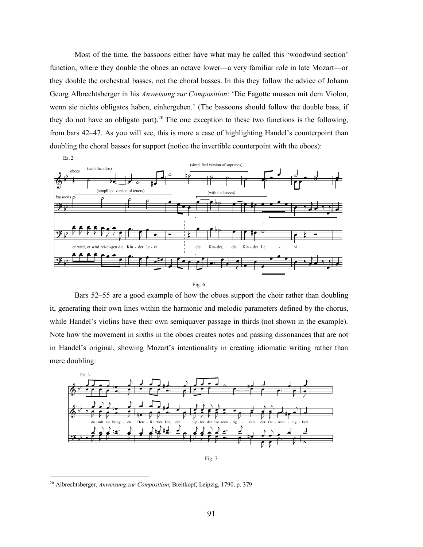Most of the time, the bassoons either have what may be called this 'woodwind section' function, where they double the oboes an octave lower—a very familiar role in late Mozart—or they double the orchestral basses, not the choral basses. In this they follow the advice of Johann Georg Albrechtsberger in his *Anweisung zur Composition*: 'Die Fagotte mussen mit dem Violon, wenn sie nichts obligates haben, einhergehen.' (The bassoons should follow the double bass, if they do not have an obligato part).<sup>20</sup> The one exception to these two functions is the following, from bars 42–47. As you will see, this is more a case of highlighting Handel's counterpoint than doubling the choral basses for support (notice the invertible counterpoint with the oboes):



Fig. 6

Bars 52–55 are a good example of how the oboes support the choir rather than doubling it, generating their own lines within the harmonic and melodic parameters defined by the chorus, while Handel's violins have their own semiquaver passage in thirds (not shown in the example). Note how the movement in sixths in the oboes creates notes and passing dissonances that are not in Handel's original, showing Mozart's intentionality in creating idiomatic writing rather than mere doubling:



 <sup>20</sup> Albrechtsberger, *Anweisung zur Composition*, Breitkopf, Leipzig, 1790, p. <sup>379</sup>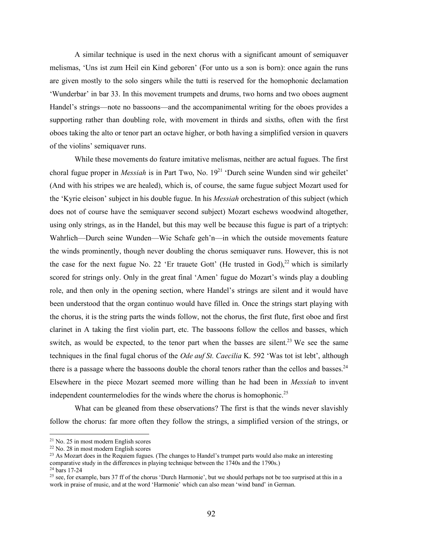A similar technique is used in the next chorus with a significant amount of semiquaver melismas, 'Uns ist zum Heil ein Kind geboren' (For unto us a son is born): once again the runs are given mostly to the solo singers while the tutti is reserved for the homophonic declamation 'Wunderbar' in bar 33. In this movement trumpets and drums, two horns and two oboes augment Handel's strings—note no bassoons—and the accompanimental writing for the oboes provides a supporting rather than doubling role, with movement in thirds and sixths, often with the first oboes taking the alto or tenor part an octave higher, or both having a simplified version in quavers of the violins' semiquaver runs.

While these movements do feature imitative melismas, neither are actual fugues. The first choral fugue proper in *Messiah* is in Part Two, No. 19<sup>21</sup> 'Durch seine Wunden sind wir geheilet' (And with his stripes we are healed), which is, of course, the same fugue subject Mozart used for the 'Kyrie eleison' subject in his double fugue. In his *Messiah* orchestration of this subject (which does not of course have the semiquaver second subject) Mozart eschews woodwind altogether, using only strings, as in the Handel, but this may well be because this fugue is part of a triptych: Wahrlich—Durch seine Wunden—Wie Schafe geh'n—in which the outside movements feature the winds prominently, though never doubling the chorus semiquaver runs. However, this is not the case for the next fugue No. 22 'Er trauete Gott' (He trusted in God), $^{22}$  which is similarly scored for strings only. Only in the great final 'Amen' fugue do Mozart's winds play a doubling role, and then only in the opening section, where Handel's strings are silent and it would have been understood that the organ continuo would have filled in. Once the strings start playing with the chorus, it is the string parts the winds follow, not the chorus, the first flute, first oboe and first clarinet in A taking the first violin part, etc. The bassoons follow the cellos and basses, which switch, as would be expected, to the tenor part when the basses are silent.<sup>23</sup> We see the same techniques in the final fugal chorus of the *Ode auf St. Caecilia* K. 592 'Was tot ist lebt', although there is a passage where the bassoons double the choral tenors rather than the cellos and basses. $^{24}$ Elsewhere in the piece Mozart seemed more willing than he had been in *Messiah* to invent independent countermelodies for the winds where the chorus is homophonic.<sup>25</sup>

What can be gleaned from these observations? The first is that the winds never slavishly follow the chorus: far more often they follow the strings, a simplified version of the strings, or

 <sup>21</sup> No. <sup>25</sup> in most modern English scores

<sup>22</sup> No. 28 in most modern English scores

<sup>&</sup>lt;sup>23</sup> As Mozart does in the Requiem fugues. (The changes to Handel's trumpet parts would also make an interesting comparative study in the differences in playing technique between the 1740s and the 1790s.) <sup>24</sup> bars 17-24

<sup>&</sup>lt;sup>25</sup> see, for example, bars 37 ff of the chorus 'Durch Harmonie', but we should perhaps not be too surprised at this in a work in praise of music, and at the word 'Harmonie' which can also mean 'wind band' in German.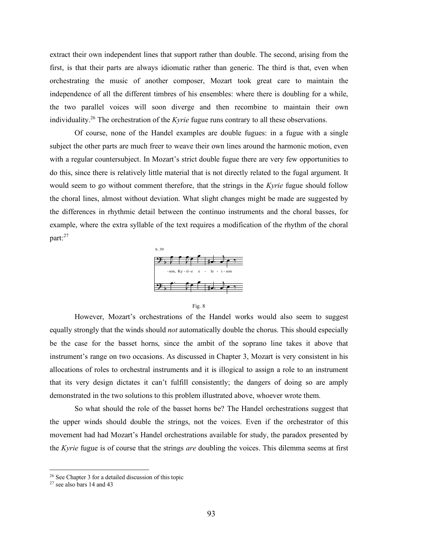extract their own independent lines that support rather than double. The second, arising from the first, is that their parts are always idiomatic rather than generic. The third is that, even when orchestrating the music of another composer, Mozart took great care to maintain the independence of all the different timbres of his ensembles: where there is doubling for a while, the two parallel voices will soon diverge and then recombine to maintain their own individuality. <sup>26</sup> The orchestration of the *Kyrie* fugue runs contrary to all these observations.

Of course, none of the Handel examples are double fugues: in a fugue with a single subject the other parts are much freer to weave their own lines around the harmonic motion, even with a regular countersubject. In Mozart's strict double fugue there are very few opportunities to do this, since there is relatively little material that is not directly related to the fugal argument. It would seem to go without comment therefore, that the strings in the *Kyrie* fugue should follow the choral lines, almost without deviation. What slight changes might be made are suggested by the differences in rhythmic detail between the continuo instruments and the choral basses, for example, where the extra syllable of the text requires a modification of the rhythm of the choral part: 27





However, Mozart's orchestrations of the Handel works would also seem to suggest equally strongly that the winds should *not* automatically double the chorus. This should especially be the case for the basset horns, since the ambit of the soprano line takes it above that instrument's range on two occasions. As discussed in Chapter 3, Mozart is very consistent in his allocations of roles to orchestral instruments and it is illogical to assign a role to an instrument that its very design dictates it can't fulfill consistently; the dangers of doing so are amply demonstrated in the two solutions to this problem illustrated above, whoever wrote them.

So what should the role of the basset horns be? The Handel orchestrations suggest that the upper winds should double the strings, not the voices. Even if the orchestrator of this movement had had Mozart's Handel orchestrations available for study, the paradox presented by the *Kyrie* fugue is of course that the strings *are* doubling the voices. This dilemma seems at first

 $26$  See Chapter 3 for a detailed discussion of this topic

<sup>27</sup> see also bars 14 and 43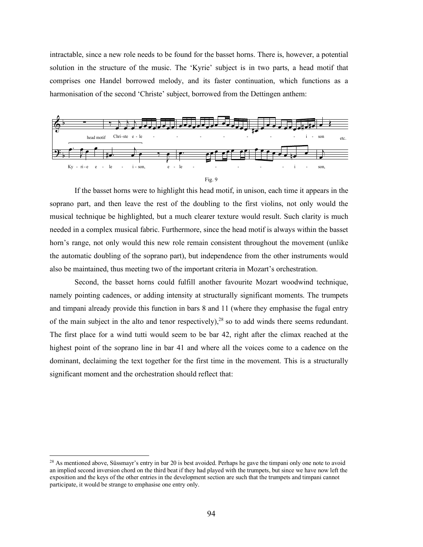intractable, since a new role needs to be found for the basset horns. There is, however, a potential solution in the structure of the music. The 'Kyrie' subject is in two parts, a head motif that comprises one Handel borrowed melody, and its faster continuation, which functions as a harmonisation of the second 'Christe' subject, borrowed from the Dettingen anthem:



If the basset horns were to highlight this head motif, in unison, each time it appears in the soprano part, and then leave the rest of the doubling to the first violins, not only would the musical technique be highlighted, but a much clearer texture would result. Such clarity is much needed in a complex musical fabric. Furthermore, since the head motif is always within the basset horn's range, not only would this new role remain consistent throughout the movement (unlike the automatic doubling of the soprano part), but independence from the other instruments would also be maintained, thus meeting two of the important criteria in Mozart's orchestration.

Second, the basset horns could fulfill another favourite Mozart woodwind technique, namely pointing cadences, or adding intensity at structurally significant moments. The trumpets and timpani already provide this function in bars 8 and 11 (where they emphasise the fugal entry of the main subject in the alto and tenor respectively),  $28$  so to add winds there seems redundant. The first place for a wind tutti would seem to be bar 42, right after the climax reached at the highest point of the soprano line in bar 41 and where all the voices come to a cadence on the dominant, declaiming the text together for the first time in the movement. This is a structurally significant moment and the orchestration should reflect that:

<sup>&</sup>lt;sup>28</sup> As mentioned above, Süssmayr's entry in bar 20 is best avoided. Perhaps he gave the timpani only one note to avoid an implied second inversion chord on the third beat if they had played with the trumpets, but since we have now left the exposition and the keys of the other entries in the development section are such that the trumpets and timpani cannot participate, it would be strange to emphasise one entry only.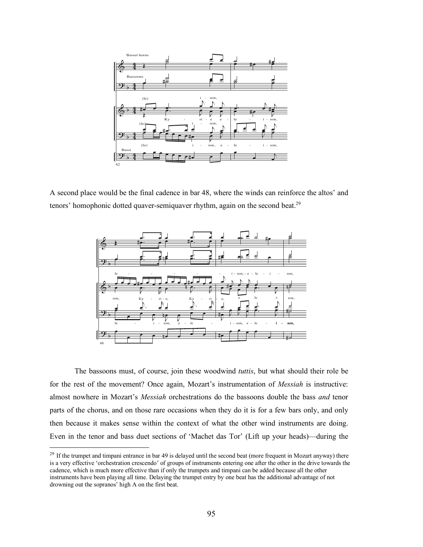

A second place would be the final cadence in bar 48, where the winds can reinforce the altos' and tenors' homophonic dotted quaver-semiquaver rhythm, again on the second beat.<sup>29</sup>



The bassoons must, of course, join these woodwind *tuttis*, but what should their role be for the rest of the movement? Once again, Mozart's instrumentation of *Messiah* is instructive: almost nowhere in Mozart's *Messiah* orchestrations do the bassoons double the bass *and* tenor parts of the chorus, and on those rare occasions when they do it is for a few bars only, and only then because it makes sense within the context of what the other wind instruments are doing. Even in the tenor and bass duet sections of 'Machet das Tor' (Lift up your heads)—during the

 $^{29}$  If the trumpet and timpani entrance in bar 49 is delayed until the second beat (more frequent in Mozart anyway) there is a very effective 'orchestration crescendo' of groups of instruments entering one after the other in the drive towards the cadence, which is much more effective than if only the trumpets and timpani can be added because all the other instruments have been playing all time. Delaying the trumpet entry by one beat has the additional advantage of not drowning out the sopranos' high A on the first beat.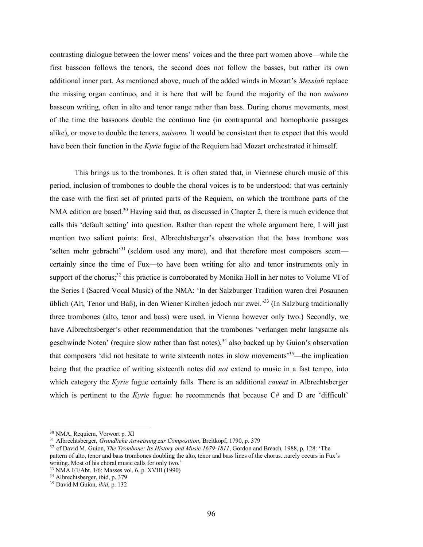contrasting dialogue between the lower mens' voices and the three part women above—while the first bassoon follows the tenors, the second does not follow the basses, but rather its own additional inner part. As mentioned above, much of the added winds in Mozart's *Messiah* replace the missing organ continuo, and it is here that will be found the majority of the non *unisono* bassoon writing, often in alto and tenor range rather than bass. During chorus movements, most of the time the bassoons double the continuo line (in contrapuntal and homophonic passages alike), or move to double the tenors, *unisono.* It would be consistent then to expect that this would have been their function in the *Kyrie* fugue of the Requiem had Mozart orchestrated it himself.

This brings us to the trombones. It is often stated that, in Viennese church music of this period, inclusion of trombones to double the choral voices is to be understood: that was certainly the case with the first set of printed parts of the Requiem, on which the trombone parts of the NMA edition are based.<sup>30</sup> Having said that, as discussed in Chapter 2, there is much evidence that calls this 'default setting' into question. Rather than repeat the whole argument here, I will just mention two salient points: first, Albrechtsberger's observation that the bass trombone was 'selten mehr gebracht'<sup>31</sup> (seldom used any more), and that therefore most composers seem certainly since the time of Fux—to have been writing for alto and tenor instruments only in support of the chorus;<sup>32</sup> this practice is corroborated by Monika Holl in her notes to Volume VI of the Series I (Sacred Vocal Music) of the NMA: 'In der Salzburger Tradition waren drei Posaunen üblich (Alt, Tenor und Baß), in den Wiener Kirchen jedoch nur zwei.' <sup>33</sup> (In Salzburg traditionally three trombones (alto, tenor and bass) were used, in Vienna however only two.) Secondly, we have Albrechtsberger's other recommendation that the trombones 'verlangen mehr langsame als geschwinde Noten' (require slow rather than fast notes),  $34$  also backed up by Guion's observation that composers 'did not hesitate to write sixteenth notes in slow movements' 35—the implication being that the practice of writing sixteenth notes did *not* extend to music in a fast tempo, into which category the *Kyrie* fugue certainly falls. There is an additional *caveat* in Albrechtsberger which is pertinent to the *Kyrie* fugue: he recommends that because C# and D are 'difficult'

 <sup>30</sup> NMA, Requiem, Vorwort p. XI

<sup>31</sup> Albrechtsberger, *Grundliche Anweisung zur Composition*, Breitkopf, 1790, p. 379

<sup>32</sup> cf David M. Guion, *The Trombone: Its History and Music 1679-1811*, Gordon and Breach, 1988, p. 128: 'The pattern of alto, tenor and bass trombones doubling the alto, tenor and bass lines of the chorus...rarely occurs in Fux's writing. Most of his choral music calls for only two.'

<sup>33</sup> NMA I/1/Abt. 1/6: Masses vol. 6, p. XVIII (1990)

<sup>34</sup> Albrechtsberger, ibid, p. 379

<sup>35</sup> David M Guion, *ibid*, p. 132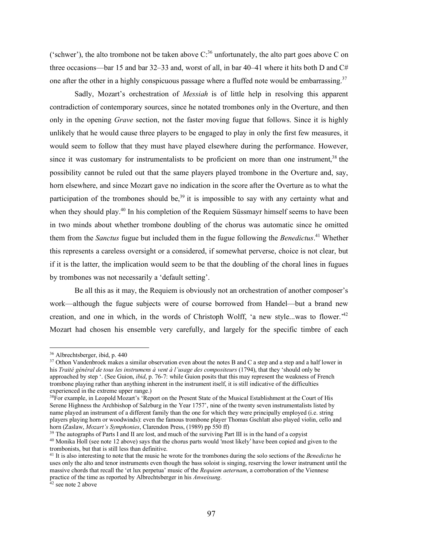('schwer'), the alto trombone not be taken above  $C$ <sup>36</sup> unfortunately, the alto part goes above C on three occasions—bar 15 and bar 32–33 and, worst of all, in bar 40–41 where it hits both D and  $C#$ one after the other in a highly conspicuous passage where a fluffed note would be embarrassing.<sup>37</sup>

Sadly, Mozart's orchestration of *Messiah* is of little help in resolving this apparent contradiction of contemporary sources, since he notated trombones only in the Overture, and then only in the opening *Grave* section, not the faster moving fugue that follows. Since it is highly unlikely that he would cause three players to be engaged to play in only the first few measures, it would seem to follow that they must have played elsewhere during the performance. However, since it was customary for instrumentalists to be proficient on more than one instrument.<sup>38</sup> the possibility cannot be ruled out that the same players played trombone in the Overture and, say, horn elsewhere, and since Mozart gave no indication in the score after the Overture as to what the participation of the trombones should be,<sup>39</sup> it is impossible to say with any certainty what and when they should play.<sup>40</sup> In his completion of the Requiem Süssmayr himself seems to have been in two minds about whether trombone doubling of the chorus was automatic since he omitted them from the *Sanctus* fugue but included them in the fugue following the *Benedictus*. <sup>41</sup> Whether this represents a careless oversight or a considered, if somewhat perverse, choice is not clear, but if it is the latter, the implication would seem to be that the doubling of the choral lines in fugues by trombones was not necessarily a 'default setting'.

Be all this as it may, the Requiem is obviously not an orchestration of another composer's work—although the fugue subjects were of course borrowed from Handel—but a brand new creation, and one in which, in the words of Christoph Wolff, 'a new style...was to flower.<sup>242</sup> Mozart had chosen his ensemble very carefully, and largely for the specific timbre of each

 <sup>36</sup> Albrechtsberger, ibid, p. <sup>440</sup>

<sup>&</sup>lt;sup>37</sup> Othon Vandenbroek makes a similar observation even about the notes B and C a step and a step and a half lower in his *Traité général de tous les instrumens à vent à l'usage des compositeurs* (1794), that they 'should only be approached by step '. (See Guion, *ibid*, p. 76-7: while Guion posits that this may represent the weakness of French trombone playing rather than anything inherent in the instrument itself, it is still indicative of the difficulties experienced in the extreme upper range.)

<sup>&</sup>lt;sup>38</sup>For example, in Leopold Mozart's 'Report on the Present State of the Musical Establishment at the Court of His Serene Highness the Archbishop of Salzburg in the Year 1757', nine of the twenty seven instrumentalists listed by name played an instrument of a different family than the one for which they were principally employed (i.e. string players playing horn or woodwinds): even the famous trombone player Thomas Gschlatt also played violin, cello and horn (Zaslaw, *Mozart's Symphonies*, Clarendon Press, (1989) pp 550 ff)

<sup>&</sup>lt;sup>39</sup> The autographs of Parts I and II are lost, and much of the surviving Part III is in the hand of a copyist

<sup>&</sup>lt;sup>40</sup> Monika Holl (see note 12 above) says that the chorus parts would 'most likely' have been copied and given to the trombonists, but that is still less than definitive.

<sup>41</sup> It is also interesting to note that the music he wrote for the trombones during the solo sections of the *Benedictus* he uses only the alto and tenor instruments even though the bass soloist is singing, reserving the lower instrument until the massive chords that recall the 'et lux perpetua' music of the *Requiem aeternam*, a corroboration of the Viennese practice of the time as reported by Albrechtsberger in his *Anweisung*.

<sup>42</sup> see note 2 above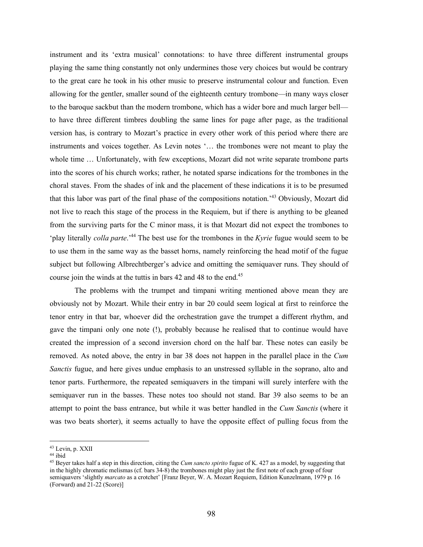instrument and its 'extra musical' connotations: to have three different instrumental groups playing the same thing constantly not only undermines those very choices but would be contrary to the great care he took in his other music to preserve instrumental colour and function. Even allowing for the gentler, smaller sound of the eighteenth century trombone—in many ways closer to the baroque sackbut than the modern trombone, which has a wider bore and much larger bell to have three different timbres doubling the same lines for page after page, as the traditional version has, is contrary to Mozart's practice in every other work of this period where there are instruments and voices together. As Levin notes '… the trombones were not meant to play the whole time ... Unfortunately, with few exceptions, Mozart did not write separate trombone parts into the scores of his church works; rather, he notated sparse indications for the trombones in the choral staves. From the shades of ink and the placement of these indications it is to be presumed that this labor was part of the final phase of the compositions notation.' <sup>43</sup> Obviously, Mozart did not live to reach this stage of the process in the Requiem, but if there is anything to be gleaned from the surviving parts for the C minor mass, it is that Mozart did not expect the trombones to 'play literally *colla parte*.'44 The best use for the trombones in the *Kyrie* fugue would seem to be to use them in the same way as the basset horns, namely reinforcing the head motif of the fugue subject but following Albrechtberger's advice and omitting the semiquaver runs. They should of course join the winds at the tuttis in bars 42 and 48 to the end.<sup>45</sup>

The problems with the trumpet and timpani writing mentioned above mean they are obviously not by Mozart. While their entry in bar 20 could seem logical at first to reinforce the tenor entry in that bar, whoever did the orchestration gave the trumpet a different rhythm, and gave the timpani only one note (!), probably because he realised that to continue would have created the impression of a second inversion chord on the half bar. These notes can easily be removed. As noted above, the entry in bar 38 does not happen in the parallel place in the *Cum Sanctis* fugue, and here gives undue emphasis to an unstressed syllable in the soprano, alto and tenor parts. Furthermore, the repeated semiquavers in the timpani will surely interfere with the semiquaver run in the basses. These notes too should not stand. Bar 39 also seems to be an attempt to point the bass entrance, but while it was better handled in the *Cum Sanctis* (where it was two beats shorter), it seems actually to have the opposite effect of pulling focus from the

 <sup>43</sup> Levin, p. XXII

<sup>44</sup> ibid

<sup>45</sup> Beyer takes half a step in this direction, citing the *Cum sancto spirito* fugue of K. 427 as a model, by suggesting that in the highly chromatic melismas (cf. bars 34-8) the trombones might play just the first note of each group of four semiquavers 'slightly *marcato* as a crotchet' [Franz Beyer, W. A. Mozart Requiem, Edition Kunzelmann, 1979 p. 16 (Forward) and 21-22 (Score)]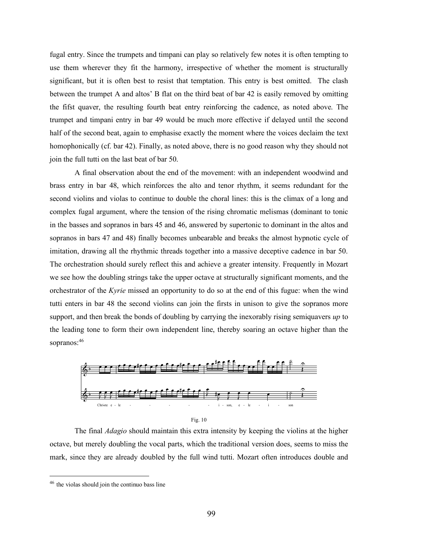fugal entry. Since the trumpets and timpani can play so relatively few notes it is often tempting to use them wherever they fit the harmony, irrespective of whether the moment is structurally significant, but it is often best to resist that temptation. This entry is best omitted. The clash between the trumpet A and altos' B flat on the third beat of bar 42 is easily removed by omitting the fifst quaver, the resulting fourth beat entry reinforcing the cadence, as noted above. The trumpet and timpani entry in bar 49 would be much more effective if delayed until the second half of the second beat, again to emphasise exactly the moment where the voices declaim the text homophonically (cf. bar 42). Finally, as noted above, there is no good reason why they should not join the full tutti on the last beat of bar 50.

A final observation about the end of the movement: with an independent woodwind and brass entry in bar 48, which reinforces the alto and tenor rhythm, it seems redundant for the second violins and violas to continue to double the choral lines: this is the climax of a long and complex fugal argument, where the tension of the rising chromatic melismas (dominant to tonic in the basses and sopranos in bars 45 and 46, answered by supertonic to dominant in the altos and sopranos in bars 47 and 48) finally becomes unbearable and breaks the almost hypnotic cycle of imitation, drawing all the rhythmic threads together into a massive deceptive cadence in bar 50. The orchestration should surely reflect this and achieve a greater intensity. Frequently in Mozart we see how the doubling strings take the upper octave at structurally significant moments, and the orchestrator of the *Kyrie* missed an opportunity to do so at the end of this fugue: when the wind tutti enters in bar 48 the second violins can join the firsts in unison to give the sopranos more support, and then break the bonds of doubling by carrying the inexorably rising semiquavers *up* to the leading tone to form their own independent line, thereby soaring an octave higher than the sopranos: 46



The final *Adagio* should maintain this extra intensity by keeping the violins at the higher octave, but merely doubling the vocal parts, which the traditional version does, seems to miss the mark, since they are already doubled by the full wind tutti. Mozart often introduces double and

 <sup>46</sup> the violas should join the continuo bass line